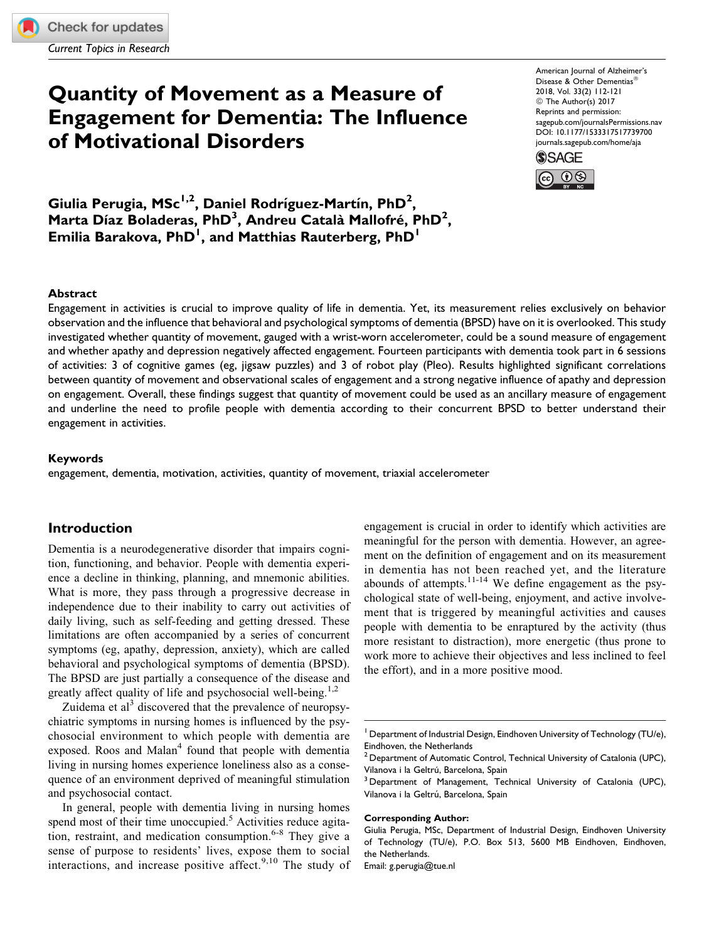Current Topics in Research

# Quantity of Movement as a Measure of Engagement for Dementia: The Influence of Motivational Disorders

American Journal of Alzheimer's Disease & Other Dementias 2018, Vol. 33(2) 112-121 © The Author(s) 2017 Reprints and permission: [sagepub.com/journalsPermissions.nav](https://us.sagepub.com/en-us/journals-permissions) [DOI: 10.1177/1533317517739700](https://doi.org/10.1177/1533317517739700) [journals.sagepub.com/home/aja](http://journals.sagepub.com/home/aja)



Giulia Perugia, MSc $^{1,2}$ , Daniel Rodríguez-Martín, PhD $^{2}$ , Marta Díaz Boladeras, PhD<sup>3</sup>, Andreu Català Mallofré, PhD<sup>2</sup>, Emilia Barakova, PhD<sup>1</sup>, and Matthias Rauterberg, PhD<sup>1</sup>

#### Abstract

Engagement in activities is crucial to improve quality of life in dementia. Yet, its measurement relies exclusively on behavior observation and the influence that behavioral and psychological symptoms of dementia (BPSD) have on it is overlooked. This study investigated whether quantity of movement, gauged with a wrist-worn accelerometer, could be a sound measure of engagement and whether apathy and depression negatively affected engagement. Fourteen participants with dementia took part in 6 sessions of activities: 3 of cognitive games (eg, jigsaw puzzles) and 3 of robot play (Pleo). Results highlighted significant correlations between quantity of movement and observational scales of engagement and a strong negative influence of apathy and depression on engagement. Overall, these findings suggest that quantity of movement could be used as an ancillary measure of engagement and underline the need to profile people with dementia according to their concurrent BPSD to better understand their engagement in activities.

#### Keywords

engagement, dementia, motivation, activities, quantity of movement, triaxial accelerometer

## Introduction

Dementia is a neurodegenerative disorder that impairs cognition, functioning, and behavior. People with dementia experience a decline in thinking, planning, and mnemonic abilities. What is more, they pass through a progressive decrease in independence due to their inability to carry out activities of daily living, such as self-feeding and getting dressed. These limitations are often accompanied by a series of concurrent symptoms (eg, apathy, depression, anxiety), which are called behavioral and psychological symptoms of dementia (BPSD). The BPSD are just partially a consequence of the disease and greatly affect quality of life and psychosocial well-being.<sup>1,2</sup>

Zuidema et  $a<sup>3</sup>$  discovered that the prevalence of neuropsychiatric symptoms in nursing homes is influenced by the psychosocial environment to which people with dementia are exposed. Roos and Malan<sup>4</sup> found that people with dementia living in nursing homes experience loneliness also as a consequence of an environment deprived of meaningful stimulation and psychosocial contact.

In general, people with dementia living in nursing homes spend most of their time unoccupied.<sup>5</sup> Activities reduce agitation, restraint, and medication consumption. $6-8$  They give a sense of purpose to residents' lives, expose them to social interactions, and increase positive affect.<sup>9,10</sup> The study of

engagement is crucial in order to identify which activities are meaningful for the person with dementia. However, an agreement on the definition of engagement and on its measurement in dementia has not been reached yet, and the literature abounds of attempts. $11-14$  We define engagement as the psychological state of well-being, enjoyment, and active involvement that is triggered by meaningful activities and causes people with dementia to be enraptured by the activity (thus more resistant to distraction), more energetic (thus prone to work more to achieve their objectives and less inclined to feel the effort), and in a more positive mood.

#### Corresponding Author:

Department of Industrial Design, Eindhoven University of Technology (TU/e), Eindhoven, the Netherlands

 $2$  Department of Automatic Control, Technical University of Catalonia (UPC), Vilanova i la Geltrú, Barcelona, Spain<br><sup>3</sup> Department of Management, Technical University of Catalonia (UPC),

Vilanova i la Geltrú, Barcelona, Spain

Giulia Perugia, MSc, Department of Industrial Design, Eindhoven University of Technology (TU/e), P.O. Box 513, 5600 MB Eindhoven, Eindhoven, the Netherlands.

Email: g.perugia@tue.nl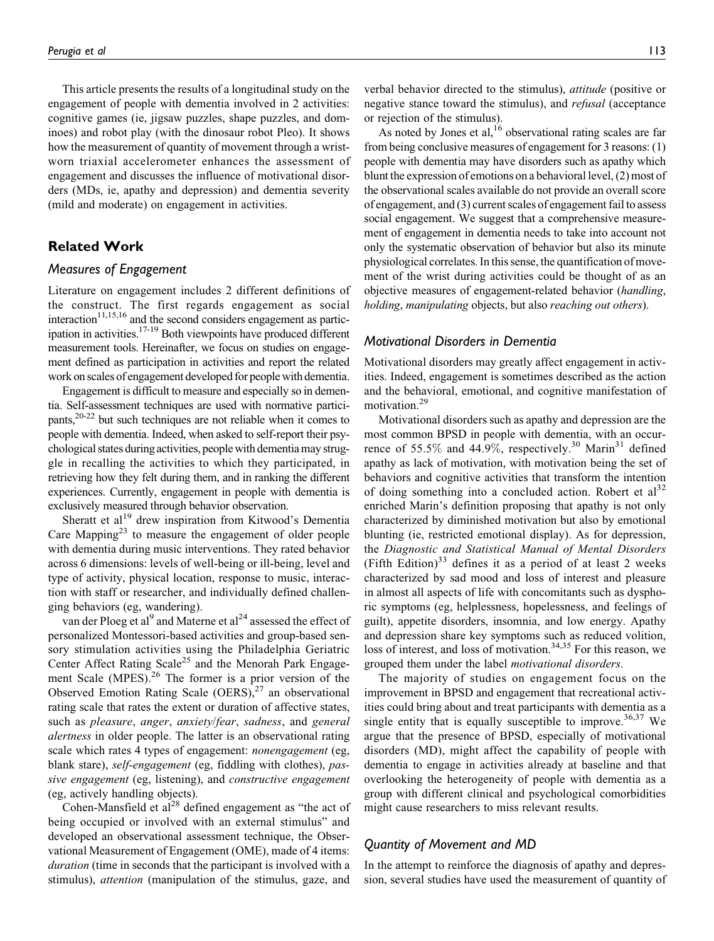This article presents the results of a longitudinal study on the engagement of people with dementia involved in 2 activities: cognitive games (ie, jigsaw puzzles, shape puzzles, and dominoes) and robot play (with the dinosaur robot Pleo). It shows how the measurement of quantity of movement through a wristworn triaxial accelerometer enhances the assessment of engagement and discusses the influence of motivational disorders (MDs, ie, apathy and depression) and dementia severity (mild and moderate) on engagement in activities.

# Related Work

## Measures of Engagement

Literature on engagement includes 2 different definitions of the construct. The first regards engagement as social  $interaction<sup>11,15,16</sup>$  and the second considers engagement as participation in activities.17-19 Both viewpoints have produced different measurement tools. Hereinafter, we focus on studies on engagement defined as participation in activities and report the related work on scales of engagement developed for people with dementia.

Engagement is difficult to measure and especially so in dementia. Self-assessment techniques are used with normative participants,20-22 but such techniques are not reliable when it comes to people with dementia. Indeed, when asked to self-report their psychological states during activities, people with dementia may struggle in recalling the activities to which they participated, in retrieving how they felt during them, and in ranking the different experiences. Currently, engagement in people with dementia is exclusively measured through behavior observation.

Sheratt et al<sup>19</sup> drew inspiration from Kitwood's Dementia Care Mapping<sup>23</sup> to measure the engagement of older people with dementia during music interventions. They rated behavior across 6 dimensions: levels of well-being or ill-being, level and type of activity, physical location, response to music, interaction with staff or researcher, and individually defined challenging behaviors (eg, wandering).

van der Ploeg et al<sup>9</sup> and Materne et al<sup>24</sup> assessed the effect of personalized Montessori-based activities and group-based sensory stimulation activities using the Philadelphia Geriatric Center Affect Rating Scale<sup>25</sup> and the Menorah Park Engagement Scale (MPES).<sup>26</sup> The former is a prior version of the Observed Emotion Rating Scale  $(OERS)$ ,<sup>27</sup> an observational rating scale that rates the extent or duration of affective states, such as pleasure, anger, anxiety/fear, sadness, and general alertness in older people. The latter is an observational rating scale which rates 4 types of engagement: *nonengagement* (eg, blank stare), self-engagement (eg, fiddling with clothes), passive engagement (eg, listening), and constructive engagement (eg, actively handling objects).

Cohen-Mansfield et  $al^{28}$  defined engagement as "the act of being occupied or involved with an external stimulus" and developed an observational assessment technique, the Observational Measurement of Engagement (OME), made of 4 items: duration (time in seconds that the participant is involved with a stimulus), attention (manipulation of the stimulus, gaze, and verbal behavior directed to the stimulus), attitude (positive or negative stance toward the stimulus), and *refusal* (acceptance or rejection of the stimulus).

As noted by Jones et al,  $^{16}$  observational rating scales are far from being conclusive measures of engagement for 3 reasons: (1) people with dementia may have disorders such as apathy which blunt the expression of emotions on a behavioral level, (2) most of the observational scales available do not provide an overall score of engagement, and (3) current scales of engagement fail to assess social engagement. We suggest that a comprehensive measurement of engagement in dementia needs to take into account not only the systematic observation of behavior but also its minute physiological correlates. In this sense, the quantification of movement of the wrist during activities could be thought of as an objective measures of engagement-related behavior (handling, holding, manipulating objects, but also reaching out others).

#### Motivational Disorders in Dementia

Motivational disorders may greatly affect engagement in activities. Indeed, engagement is sometimes described as the action and the behavioral, emotional, and cognitive manifestation of motivation.<sup>29</sup>

Motivational disorders such as apathy and depression are the most common BPSD in people with dementia, with an occurrence of 55.5% and 44.9%, respectively.<sup>30</sup> Marin<sup>31</sup> defined apathy as lack of motivation, with motivation being the set of behaviors and cognitive activities that transform the intention of doing something into a concluded action. Robert et  $al^{32}$ enriched Marin's definition proposing that apathy is not only characterized by diminished motivation but also by emotional blunting (ie, restricted emotional display). As for depression, the Diagnostic and Statistical Manual of Mental Disorders (Fifth Edition)<sup>33</sup> defines it as a period of at least 2 weeks characterized by sad mood and loss of interest and pleasure in almost all aspects of life with concomitants such as dysphoric symptoms (eg, helplessness, hopelessness, and feelings of guilt), appetite disorders, insomnia, and low energy. Apathy and depression share key symptoms such as reduced volition, loss of interest, and loss of motivation.<sup>34,35</sup> For this reason, we grouped them under the label motivational disorders.

The majority of studies on engagement focus on the improvement in BPSD and engagement that recreational activities could bring about and treat participants with dementia as a single entity that is equally susceptible to improve.<sup>36,37</sup> We argue that the presence of BPSD, especially of motivational disorders (MD), might affect the capability of people with dementia to engage in activities already at baseline and that overlooking the heterogeneity of people with dementia as a group with different clinical and psychological comorbidities might cause researchers to miss relevant results.

## Quantity of Movement and MD

In the attempt to reinforce the diagnosis of apathy and depression, several studies have used the measurement of quantity of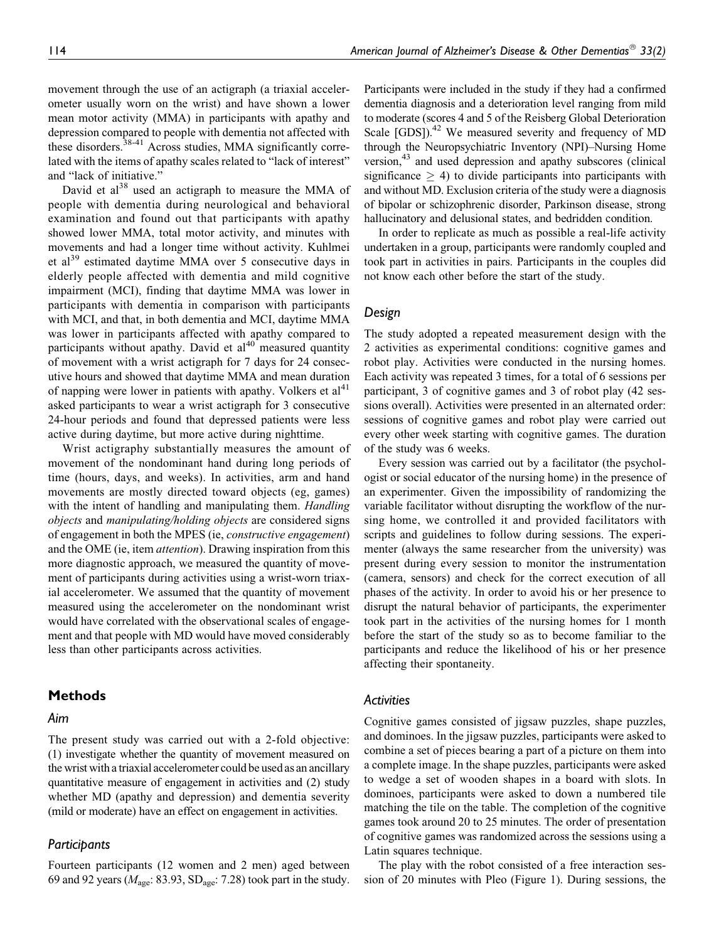movement through the use of an actigraph (a triaxial accelerometer usually worn on the wrist) and have shown a lower mean motor activity (MMA) in participants with apathy and depression compared to people with dementia not affected with these disorders.<sup>38-41</sup> Across studies, MMA significantly correlated with the items of apathy scales related to "lack of interest" and "lack of initiative."

David et al<sup>38</sup> used an actigraph to measure the MMA of people with dementia during neurological and behavioral examination and found out that participants with apathy showed lower MMA, total motor activity, and minutes with movements and had a longer time without activity. Kuhlmei et al<sup>39</sup> estimated daytime MMA over 5 consecutive days in elderly people affected with dementia and mild cognitive impairment (MCI), finding that daytime MMA was lower in participants with dementia in comparison with participants with MCI, and that, in both dementia and MCI, daytime MMA was lower in participants affected with apathy compared to participants without apathy. David et  $al<sup>40</sup>$  measured quantity of movement with a wrist actigraph for 7 days for 24 consecutive hours and showed that daytime MMA and mean duration of napping were lower in patients with apathy. Volkers et  $al<sup>41</sup>$ asked participants to wear a wrist actigraph for 3 consecutive 24-hour periods and found that depressed patients were less active during daytime, but more active during nighttime.

Wrist actigraphy substantially measures the amount of movement of the nondominant hand during long periods of time (hours, days, and weeks). In activities, arm and hand movements are mostly directed toward objects (eg, games) with the intent of handling and manipulating them. Handling objects and manipulating/holding objects are considered signs of engagement in both the MPES (ie, constructive engagement) and the OME (ie, item attention). Drawing inspiration from this more diagnostic approach, we measured the quantity of movement of participants during activities using a wrist-worn triaxial accelerometer. We assumed that the quantity of movement measured using the accelerometer on the nondominant wrist would have correlated with the observational scales of engagement and that people with MD would have moved considerably less than other participants across activities.

## Methods

## Aim

The present study was carried out with a 2-fold objective: (1) investigate whether the quantity of movement measured on the wrist with a triaxial accelerometer could be used as an ancillary quantitative measure of engagement in activities and (2) study whether MD (apathy and depression) and dementia severity (mild or moderate) have an effect on engagement in activities.

### Participants

Fourteen participants (12 women and 2 men) aged between 69 and 92 years ( $M_{\text{age}}$ : 83.93, SD<sub>age</sub>: 7.28) took part in the study.

Participants were included in the study if they had a confirmed dementia diagnosis and a deterioration level ranging from mild to moderate (scores 4 and 5 of the Reisberg Global Deterioration Scale  $[GDS]$ <sup>42</sup> We measured severity and frequency of MD through the Neuropsychiatric Inventory (NPI)–Nursing Home version,<sup>43</sup> and used depression and apathy subscores (clinical significance  $\geq$  4) to divide participants into participants with and without MD. Exclusion criteria of the study were a diagnosis of bipolar or schizophrenic disorder, Parkinson disease, strong hallucinatory and delusional states, and bedridden condition.

In order to replicate as much as possible a real-life activity undertaken in a group, participants were randomly coupled and took part in activities in pairs. Participants in the couples did not know each other before the start of the study.

## Design

The study adopted a repeated measurement design with the 2 activities as experimental conditions: cognitive games and robot play. Activities were conducted in the nursing homes. Each activity was repeated 3 times, for a total of 6 sessions per participant, 3 of cognitive games and 3 of robot play (42 sessions overall). Activities were presented in an alternated order: sessions of cognitive games and robot play were carried out every other week starting with cognitive games. The duration of the study was 6 weeks.

Every session was carried out by a facilitator (the psychologist or social educator of the nursing home) in the presence of an experimenter. Given the impossibility of randomizing the variable facilitator without disrupting the workflow of the nursing home, we controlled it and provided facilitators with scripts and guidelines to follow during sessions. The experimenter (always the same researcher from the university) was present during every session to monitor the instrumentation (camera, sensors) and check for the correct execution of all phases of the activity. In order to avoid his or her presence to disrupt the natural behavior of participants, the experimenter took part in the activities of the nursing homes for 1 month before the start of the study so as to become familiar to the participants and reduce the likelihood of his or her presence affecting their spontaneity.

#### **Activities**

Cognitive games consisted of jigsaw puzzles, shape puzzles, and dominoes. In the jigsaw puzzles, participants were asked to combine a set of pieces bearing a part of a picture on them into a complete image. In the shape puzzles, participants were asked to wedge a set of wooden shapes in a board with slots. In dominoes, participants were asked to down a numbered tile matching the tile on the table. The completion of the cognitive games took around 20 to 25 minutes. The order of presentation of cognitive games was randomized across the sessions using a Latin squares technique.

The play with the robot consisted of a free interaction session of 20 minutes with Pleo (Figure 1). During sessions, the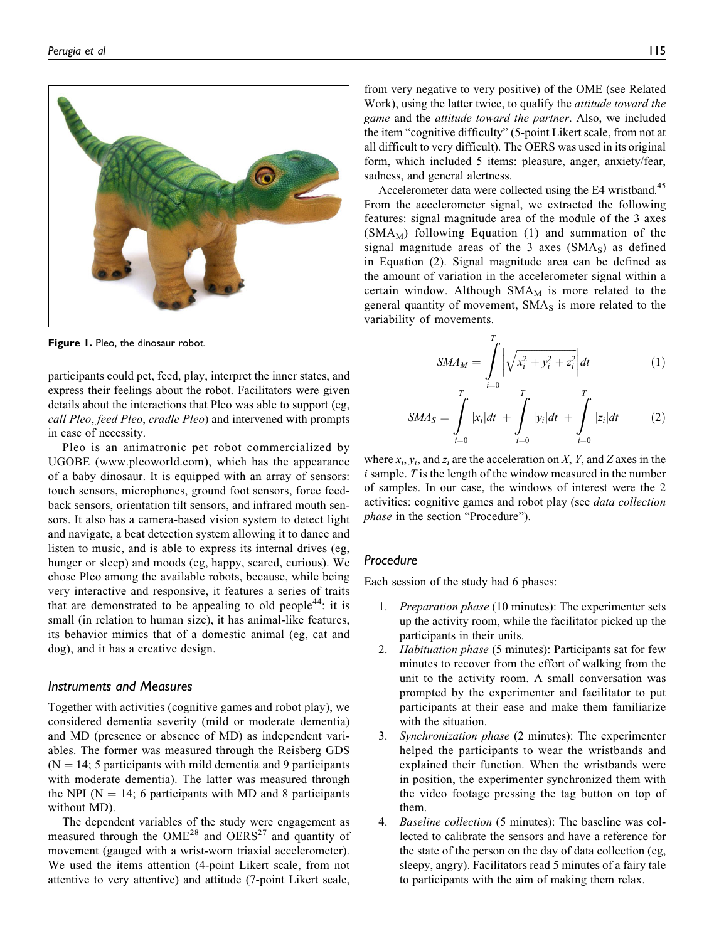

Figure 1. Pleo, the dinosaur robot.

participants could pet, feed, play, interpret the inner states, and express their feelings about the robot. Facilitators were given details about the interactions that Pleo was able to support (eg, call Pleo, feed Pleo, cradle Pleo) and intervened with prompts in case of necessity.

Pleo is an animatronic pet robot commercialized by UGOBE ([www.pleoworld.com\)](http://www.pleoworld.com), which has the appearance of a baby dinosaur. It is equipped with an array of sensors: touch sensors, microphones, ground foot sensors, force feedback sensors, orientation tilt sensors, and infrared mouth sensors. It also has a camera-based vision system to detect light and navigate, a beat detection system allowing it to dance and listen to music, and is able to express its internal drives (eg, hunger or sleep) and moods (eg, happy, scared, curious). We chose Pleo among the available robots, because, while being very interactive and responsive, it features a series of traits that are demonstrated to be appealing to old people<sup>44</sup>: it is small (in relation to human size), it has animal-like features, its behavior mimics that of a domestic animal (eg, cat and dog), and it has a creative design.

## Instruments and Measures

Together with activities (cognitive games and robot play), we considered dementia severity (mild or moderate dementia) and MD (presence or absence of MD) as independent variables. The former was measured through the Reisberg GDS  $(N = 14; 5$  participants with mild dementia and 9 participants with moderate dementia). The latter was measured through the NPI ( $N = 14$ ; 6 participants with MD and 8 participants without MD).

The dependent variables of the study were engagement as measured through the  $OME^{28}$  and  $OERS^{27}$  and quantity of movement (gauged with a wrist-worn triaxial accelerometer). We used the items attention (4-point Likert scale, from not attentive to very attentive) and attitude (7-point Likert scale,

from very negative to very positive) of the OME (see Related Work), using the latter twice, to qualify the attitude toward the game and the attitude toward the partner. Also, we included the item "cognitive difficulty" (5-point Likert scale, from not at all difficult to very difficult). The OERS was used in its original form, which included 5 items: pleasure, anger, anxiety/fear, sadness, and general alertness.

Accelerometer data were collected using the E4 wristband.<sup>45</sup> From the accelerometer signal, we extracted the following features: signal magnitude area of the module of the 3 axes  $(SMA<sub>M</sub>)$  following Equation (1) and summation of the signal magnitude areas of the  $3$  axes (SMA<sub>S</sub>) as defined in Equation (2). Signal magnitude area can be defined as the amount of variation in the accelerometer signal within a certain window. Although  $SMA<sub>M</sub>$  is more related to the general quantity of movement,  $SMA<sub>S</sub>$  is more related to the variability of movements.

$$
SMA_M = \int_{i=0}^{T} \left| \sqrt{x_i^2 + y_i^2 + z_i^2} \right| dt
$$
 (1)

$$
SMA_S = \int_{i=0}^{T} |x_i|dt + \int_{i=0}^{T} |y_i|dt + \int_{i=0}^{T} |z_i|dt
$$
 (2)

where  $x_i$ ,  $y_i$ , and  $z_i$  are the acceleration on X, Y, and Z axes in the  $i$  sample.  $T$  is the length of the window measured in the number of samples. In our case, the windows of interest were the 2 activities: cognitive games and robot play (see *data collection* phase in the section "Procedure").

## Procedure

Each session of the study had 6 phases:

- 1. Preparation phase (10 minutes): The experimenter sets up the activity room, while the facilitator picked up the participants in their units.
- 2. *Habituation phase* (5 minutes): Participants sat for few minutes to recover from the effort of walking from the unit to the activity room. A small conversation was prompted by the experimenter and facilitator to put participants at their ease and make them familiarize with the situation.
- 3. Synchronization phase (2 minutes): The experimenter helped the participants to wear the wristbands and explained their function. When the wristbands were in position, the experimenter synchronized them with the video footage pressing the tag button on top of them.
- 4. Baseline collection (5 minutes): The baseline was collected to calibrate the sensors and have a reference for the state of the person on the day of data collection (eg, sleepy, angry). Facilitators read 5 minutes of a fairy tale to participants with the aim of making them relax.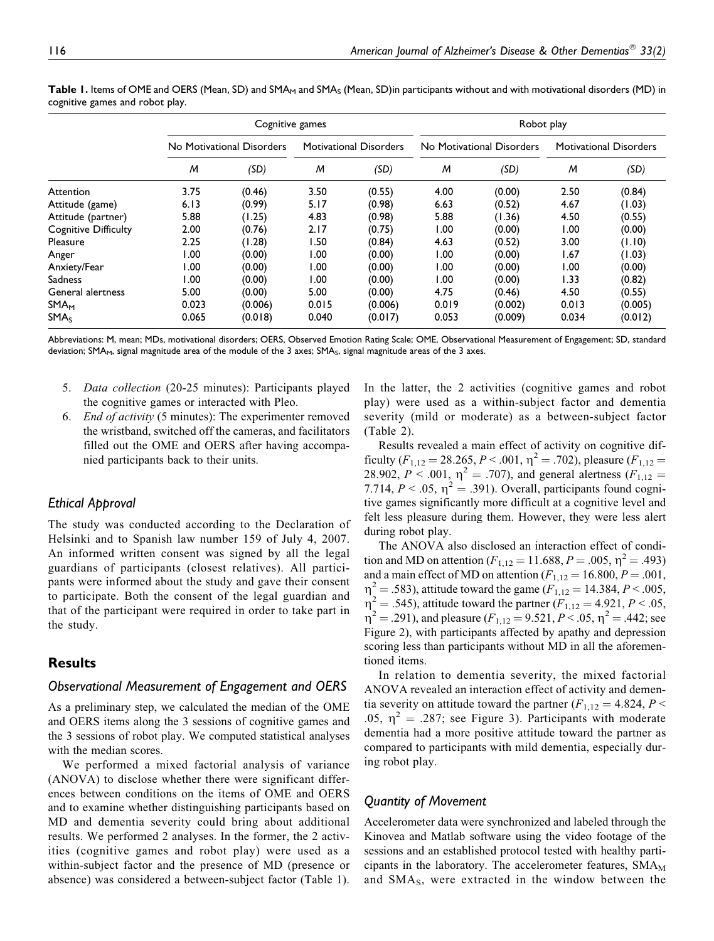|                        | Cognitive games           |         |                               |         | Robot play                |         |                               |         |
|------------------------|---------------------------|---------|-------------------------------|---------|---------------------------|---------|-------------------------------|---------|
|                        | No Motivational Disorders |         | <b>Motivational Disorders</b> |         | No Motivational Disorders |         | <b>Motivational Disorders</b> |         |
|                        | M                         | (SD)    | M                             | (SD)    | M                         | (SD)    | M                             | (SD)    |
| Attention              | 3.75                      | (0.46)  | 3.50                          | (0.55)  | 4.00                      | (0.00)  | 2.50                          | (0.84)  |
| Attitude (game)        | 6.13                      | (0.99)  | 5.17                          | (0.98)  | 6.63                      | (0.52)  | 4.67                          | (1.03)  |
| Attitude (partner)     | 5.88                      | (1.25)  | 4.83                          | (0.98)  | 5.88                      | (1.36)  | 4.50                          | (0.55)  |
| Cognitive Difficulty   | 2.00                      | (0.76)  | 2.17                          | (0.75)  | 1.00                      | (0.00)  | 1.00                          | (0.00)  |
| Pleasure               | 2.25                      | (1.28)  | I.50                          | (0.84)  | 4.63                      | (0.52)  | 3.00                          | (1.10)  |
| Anger                  | 0.00                      | (0.00)  | 1.00                          | (0.00)  | 1.00                      | (0.00)  | 1.67                          | (1.03)  |
| Anxiety/Fear           | 00. ا                     | (0.00)  | 1.00                          | (0.00)  | 1.00                      | (0.00)  | 1.00                          | (0.00)  |
| <b>Sadness</b>         | 00.1                      | (0.00)  | 1.00                          | (0.00)  | 1.00                      | (0.00)  | 1.33                          | (0.82)  |
| General alertness      | 5.00                      | (0.00)  | 5.00                          | (0.00)  | 4.75                      | (0.46)  | 4.50                          | (0.55)  |
| <b>SMA<sub>M</sub></b> | 0.023                     | (0.006) | 0.015                         | (0.006) | 0.019                     | (0.002) | 0.013                         | (0.005) |
| SMA <sub>S</sub>       | 0.065                     | (0.018) | 0.040                         | (0.017) | 0.053                     | (0.009) | 0.034                         | (0.012) |

Table 1. Items of OME and OERS (Mean, SD) and SMA<sub>M</sub> and SMA<sub>S</sub> (Mean, SD)in participants without and with motivational disorders (MD) in cognitive games and robot play.

Abbreviations: M, mean; MDs, motivational disorders; OERS, Observed Emotion Rating Scale; OME, Observational Measurement of Engagement; SD, standard deviation; SMA<sub>M</sub>, signal magnitude area of the module of the 3 axes; SMA<sub>S</sub>, signal magnitude areas of the 3 axes.

- 5. Data collection (20-25 minutes): Participants played the cognitive games or interacted with Pleo.
- 6. End of activity (5 minutes): The experimenter removed the wristband, switched off the cameras, and facilitators filled out the OME and OERS after having accompanied participants back to their units.

## Ethical Approval

The study was conducted according to the Declaration of Helsinki and to Spanish law number 159 of July 4, 2007. An informed written consent was signed by all the legal guardians of participants (closest relatives). All participants were informed about the study and gave their consent to participate. Both the consent of the legal guardian and that of the participant were required in order to take part in the study.

# Results

## Observational Measurement of Engagement and OERS

As a preliminary step, we calculated the median of the OME and OERS items along the 3 sessions of cognitive games and the 3 sessions of robot play. We computed statistical analyses with the median scores.

We performed a mixed factorial analysis of variance (ANOVA) to disclose whether there were significant differences between conditions on the items of OME and OERS and to examine whether distinguishing participants based on MD and dementia severity could bring about additional results. We performed 2 analyses. In the former, the 2 activities (cognitive games and robot play) were used as a within-subject factor and the presence of MD (presence or absence) was considered a between-subject factor (Table 1). In the latter, the 2 activities (cognitive games and robot play) were used as a within-subject factor and dementia severity (mild or moderate) as a between-subject factor (Table 2).

Results revealed a main effect of activity on cognitive difficulty ( $F_{1,12} = 28.265, P < .001, \eta^2 = .702$ ), pleasure ( $F_{1,12} =$ 28.902,  $P < .001$ ,  $\eta^2 = .707$ ), and general alertness ( $F_{1,12} =$ 7.714,  $P < .05$ ,  $\eta^2 = .391$ ). Overall, participants found cognitive games significantly more difficult at a cognitive level and felt less pleasure during them. However, they were less alert during robot play.

The ANOVA also disclosed an interaction effect of condition and MD on attention ( $F_{1,12} = 11.688$ ,  $P = .005$ ,  $\eta^2 = .493$ ) and a main effect of MD on attention ( $F_{1,12} = 16.800, P = .001,$  $\eta^2 = .583$ ), attitude toward the game ( $F_{1,12} = 14.384, P < .005,$  $\eta^2 = .545$ ), attitude toward the partner ( $F_{1,12} = 4.921, P < .05$ ,  $\eta^2 = .291$ , and pleasure  $(F_{1,12} = 9.521, P < .05, \eta^2 = .442$ ; see Figure 2), with participants affected by apathy and depression scoring less than participants without MD in all the aforementioned items.

In relation to dementia severity, the mixed factorial ANOVA revealed an interaction effect of activity and dementia severity on attitude toward the partner ( $F_{1,12} = 4.824, P \leq$ .05,  $\eta^2 = .287$ ; see Figure 3). Participants with moderate dementia had a more positive attitude toward the partner as compared to participants with mild dementia, especially during robot play.

## Quantity of Movement

Accelerometer data were synchronized and labeled through the Kinovea and Matlab software using the video footage of the sessions and an established protocol tested with healthy participants in the laboratory. The accelerometer features,  $SMA<sub>M</sub>$ and SMA<sub>S</sub>, were extracted in the window between the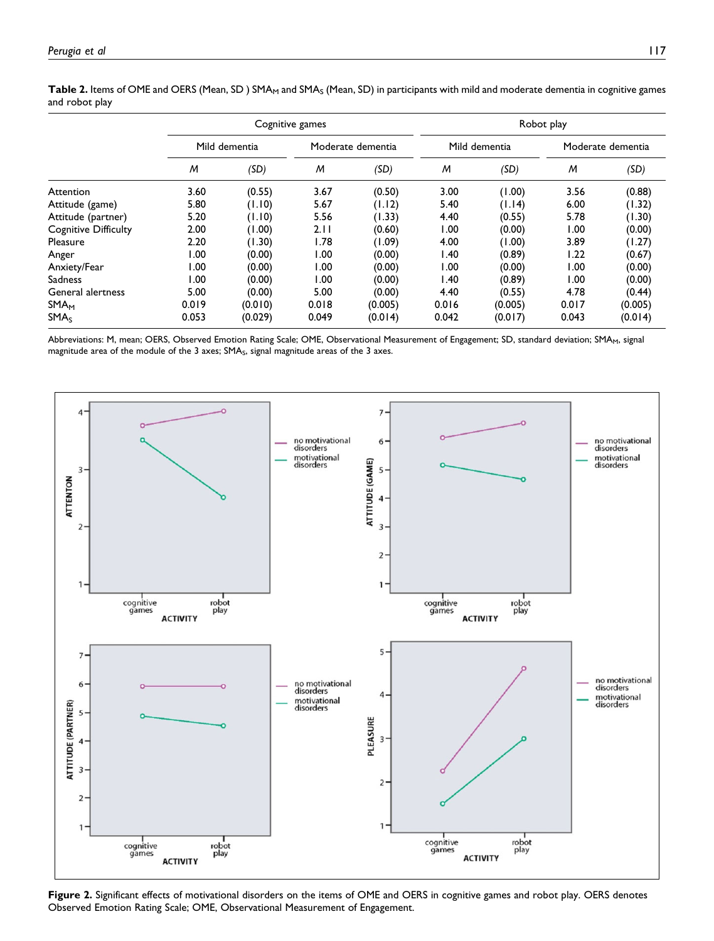|                        | Cognitive games |         |                   |         | Robot play    |         |                   |         |  |  |  |  |
|------------------------|-----------------|---------|-------------------|---------|---------------|---------|-------------------|---------|--|--|--|--|
|                        | Mild dementia   |         | Moderate dementia |         | Mild dementia |         | Moderate dementia |         |  |  |  |  |
|                        | M               | (SD)    | M                 | (SD)    | M             | (SD)    | M                 | (SD)    |  |  |  |  |
| Attention              | 3.60            | (0.55)  | 3.67              | (0.50)  | 3.00          | (1.00)  | 3.56              | (0.88)  |  |  |  |  |
| Attitude (game)        | 5.80            | (1.10)  | 5.67              | (1.12)  | 5.40          | (1.14)  | 6.00              | (1.32)  |  |  |  |  |
| Attitude (partner)     | 5.20            | (1.10)  | 5.56              | (1.33)  | 4.40          | (0.55)  | 5.78              | (1.30)  |  |  |  |  |
| Cognitive Difficulty   | 2.00            | (1.00)  | 2.11              | (0.60)  | 1.00          | (0.00)  | 1.00              | (0.00)  |  |  |  |  |
| Pleasure               | 2.20            | (1.30)  | 1.78              | (1.09)  | 4.00          | (1.00)  | 3.89              | (1.27)  |  |  |  |  |
| Anger                  | 00. ا           | (0.00)  | 1.00              | (0.00)  | 1.40          | (0.89)  | 1.22              | (0.67)  |  |  |  |  |
| Anxiety/Fear           | 00. ا           | (0.00)  | 1.00              | (0.00)  | 1.00          | (0.00)  | 1.00              | (0.00)  |  |  |  |  |
| Sadness                | 00. ا           | (0.00)  | 1.00              | (0.00)  | 1.40          | (0.89)  | 1.00              | (0.00)  |  |  |  |  |
| General alertness      | 5.00            | (0.00)  | 5.00              | (0.00)  | 4.40          | (0.55)  | 4.78              | (0.44)  |  |  |  |  |
| <b>SMA<sub>M</sub></b> | 0.019           | (0.010) | 0.018             | (0.005) | 0.016         | (0.005) | 0.017             | (0.005) |  |  |  |  |
| SMA <sub>S</sub>       | 0.053           | (0.029) | 0.049             | (0.014) | 0.042         | (0.017) | 0.043             | (0.014) |  |  |  |  |

Table 2. Items of OME and OERS (Mean, SD) SMA<sub>M</sub> and SMA<sub>S</sub> (Mean, SD) in participants with mild and moderate dementia in cognitive games and robot play

Abbreviations: M, mean; OERS, Observed Emotion Rating Scale; OME, Observational Measurement of Engagement; SD, standard deviation; SMA<sub>M</sub>, signal magnitude area of the module of the 3 axes;  $SMA<sub>s</sub>$ , signal magnitude areas of the 3 axes.



Figure 2. Significant effects of motivational disorders on the items of OME and OERS in cognitive games and robot play. OERS denotes Observed Emotion Rating Scale; OME, Observational Measurement of Engagement.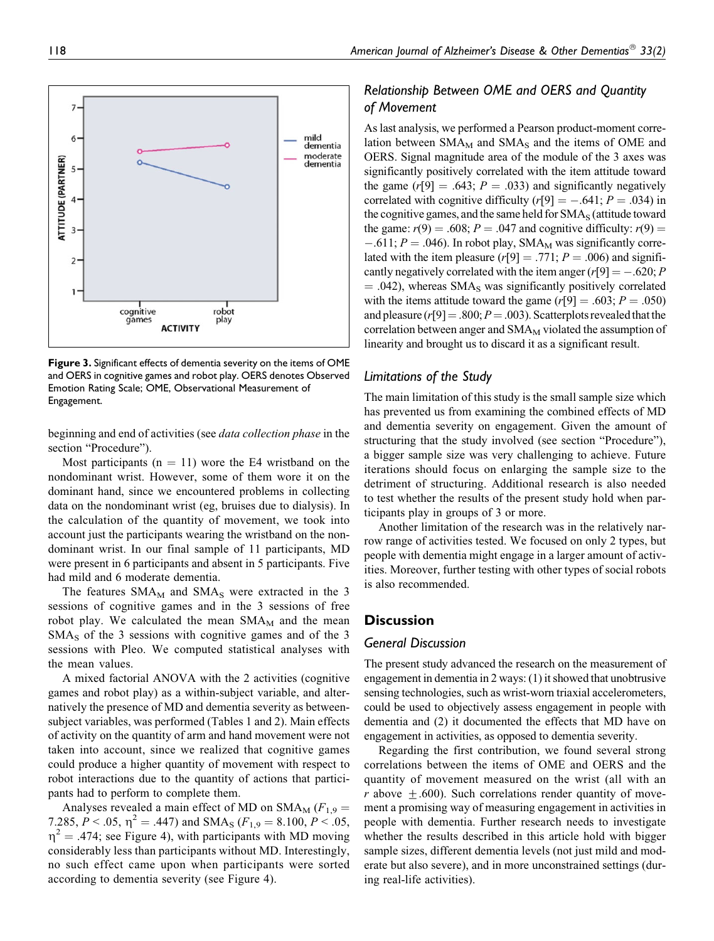

Figure 3. Significant effects of dementia severity on the items of OME and OERS in cognitive games and robot play. OERS denotes Observed Emotion Rating Scale; OME, Observational Measurement of Engagement.

beginning and end of activities (see data collection phase in the section "Procedure").

Most participants ( $n = 11$ ) wore the E4 wristband on the nondominant wrist. However, some of them wore it on the dominant hand, since we encountered problems in collecting data on the nondominant wrist (eg, bruises due to dialysis). In the calculation of the quantity of movement, we took into account just the participants wearing the wristband on the nondominant wrist. In our final sample of 11 participants, MD were present in 6 participants and absent in 5 participants. Five had mild and 6 moderate dementia.

The features  $SMA_M$  and  $SMA_S$  were extracted in the 3 sessions of cognitive games and in the 3 sessions of free robot play. We calculated the mean  $SMA<sub>M</sub>$  and the mean  $SMA<sub>S</sub>$  of the 3 sessions with cognitive games and of the 3 sessions with Pleo. We computed statistical analyses with the mean values.

A mixed factorial ANOVA with the 2 activities (cognitive games and robot play) as a within-subject variable, and alternatively the presence of MD and dementia severity as betweensubject variables, was performed (Tables 1 and 2). Main effects of activity on the quantity of arm and hand movement were not taken into account, since we realized that cognitive games could produce a higher quantity of movement with respect to robot interactions due to the quantity of actions that participants had to perform to complete them.

Analyses revealed a main effect of MD on  $SMA_M$  ( $F_{1,9}$  = 7.285,  $P < .05$ ,  $\eta^2 = .447$ ) and SMA<sub>S</sub> ( $F_{1,9} = 8.100$ ,  $P < .05$ ,  $\eta^2$  = .474; see Figure 4), with participants with MD moving considerably less than participants without MD. Interestingly, no such effect came upon when participants were sorted according to dementia severity (see Figure 4).

# Relationship Between OME and OERS and Quantity of Movement

As last analysis, we performed a Pearson product-moment correlation between  $SMA_M$  and  $SMA_S$  and the items of OME and OERS. Signal magnitude area of the module of the 3 axes was significantly positively correlated with the item attitude toward the game  $(r[9] = .643; P = .033)$  and significantly negatively correlated with cognitive difficulty  $(r[9] = -.641; P = .034)$  in the cognitive games, and the same held for  $\text{SMA}_{\text{S}}$  (attitude toward the game:  $r(9) = .608$ ;  $P = .047$  and cognitive difficulty:  $r(9) =$  $-.611; P = .046$ . In robot play, SMA<sub>M</sub> was significantly correlated with the item pleasure ( $r[9] = .771$ ;  $P = .006$ ) and significantly negatively correlated with the item anger  $(r[9] = -.620; P$  $=$  .042), whereas SMA<sub>S</sub> was significantly positively correlated with the items attitude toward the game  $(r[9] = .603; P = .050)$ and pleasure ( $r[9] = .800; P = .003$ ). Scatterplots revealed that the correlation between anger and  $SMA<sub>M</sub>$  violated the assumption of linearity and brought us to discard it as a significant result.

## Limitations of the Study

The main limitation of this study is the small sample size which has prevented us from examining the combined effects of MD and dementia severity on engagement. Given the amount of structuring that the study involved (see section "Procedure"), a bigger sample size was very challenging to achieve. Future iterations should focus on enlarging the sample size to the detriment of structuring. Additional research is also needed to test whether the results of the present study hold when participants play in groups of 3 or more.

Another limitation of the research was in the relatively narrow range of activities tested. We focused on only 2 types, but people with dementia might engage in a larger amount of activities. Moreover, further testing with other types of social robots is also recommended.

## **Discussion**

#### General Discussion

The present study advanced the research on the measurement of engagement in dementia in 2 ways: (1) it showed that unobtrusive sensing technologies, such as wrist-worn triaxial accelerometers, could be used to objectively assess engagement in people with dementia and (2) it documented the effects that MD have on engagement in activities, as opposed to dementia severity.

Regarding the first contribution, we found several strong correlations between the items of OME and OERS and the quantity of movement measured on the wrist (all with an r above  $\pm$ .600). Such correlations render quantity of movement a promising way of measuring engagement in activities in people with dementia. Further research needs to investigate whether the results described in this article hold with bigger sample sizes, different dementia levels (not just mild and moderate but also severe), and in more unconstrained settings (during real-life activities).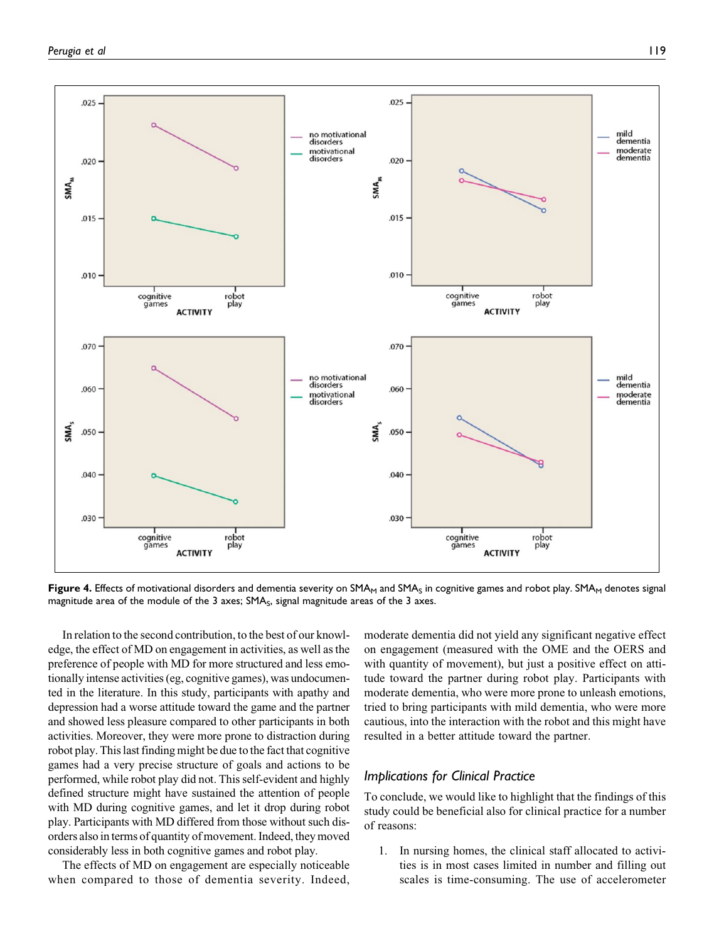

**Figure 4.** Effects of motivational disorders and dementia severity on SMA<sub>M</sub> and SMA<sub>S</sub> in cognitive games and robot play. SMA<sub>M</sub> denotes signal magnitude area of the module of the 3 axes; SMA<sub>S</sub>, signal magnitude areas of the 3 axes.

In relation to the second contribution, to the best of our knowledge, the effect of MD on engagement in activities, as well as the preference of people with MD for more structured and less emotionally intense activities (eg, cognitive games), was undocumented in the literature. In this study, participants with apathy and depression had a worse attitude toward the game and the partner and showed less pleasure compared to other participants in both activities. Moreover, they were more prone to distraction during robot play. This last finding might be due to the fact that cognitive games had a very precise structure of goals and actions to be performed, while robot play did not. This self-evident and highly defined structure might have sustained the attention of people with MD during cognitive games, and let it drop during robot play. Participants with MD differed from those without such disorders also in terms of quantity of movement. Indeed, they moved considerably less in both cognitive games and robot play.

The effects of MD on engagement are especially noticeable when compared to those of dementia severity. Indeed, moderate dementia did not yield any significant negative effect on engagement (measured with the OME and the OERS and with quantity of movement), but just a positive effect on attitude toward the partner during robot play. Participants with moderate dementia, who were more prone to unleash emotions, tried to bring participants with mild dementia, who were more cautious, into the interaction with the robot and this might have resulted in a better attitude toward the partner.

## Implications for Clinical Practice

To conclude, we would like to highlight that the findings of this study could be beneficial also for clinical practice for a number of reasons:

1. In nursing homes, the clinical staff allocated to activities is in most cases limited in number and filling out scales is time-consuming. The use of accelerometer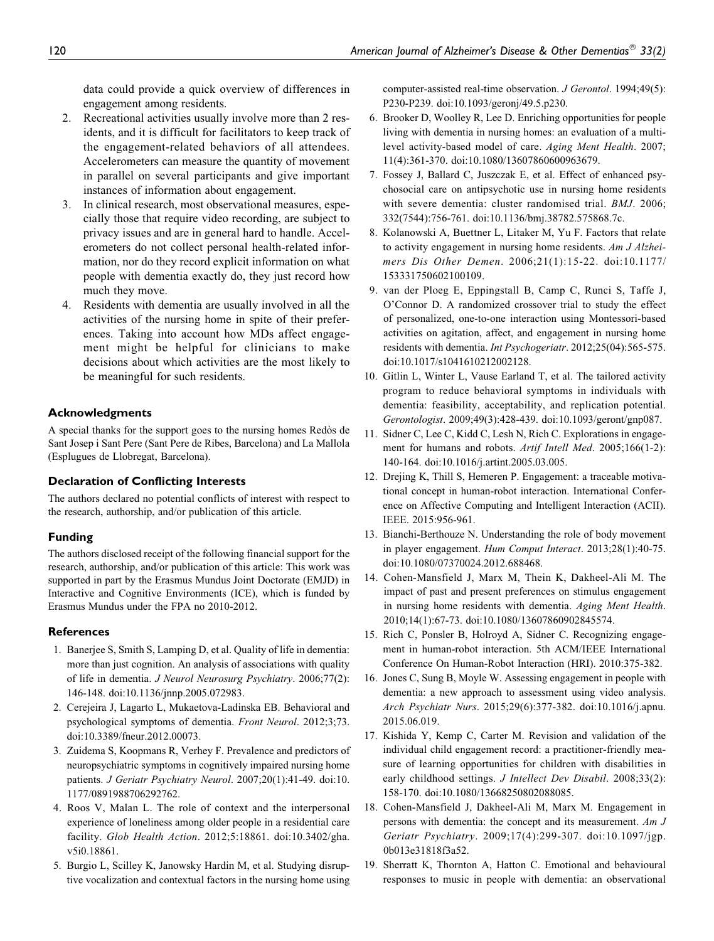data could provide a quick overview of differences in engagement among residents.

- 2. Recreational activities usually involve more than 2 residents, and it is difficult for facilitators to keep track of the engagement-related behaviors of all attendees. Accelerometers can measure the quantity of movement in parallel on several participants and give important instances of information about engagement.
- 3. In clinical research, most observational measures, especially those that require video recording, are subject to privacy issues and are in general hard to handle. Accelerometers do not collect personal health-related information, nor do they record explicit information on what people with dementia exactly do, they just record how much they move.
- 4. Residents with dementia are usually involved in all the activities of the nursing home in spite of their preferences. Taking into account how MDs affect engagement might be helpful for clinicians to make decisions about which activities are the most likely to be meaningful for such residents.

## Acknowledgments

A special thanks for the support goes to the nursing homes Redo`s de Sant Josep i Sant Pere (Sant Pere de Ribes, Barcelona) and La Mallola (Esplugues de Llobregat, Barcelona).

#### Declaration of Conflicting Interests

The authors declared no potential conflicts of interest with respect to the research, authorship, and/or publication of this article.

## Funding

The authors disclosed receipt of the following financial support for the research, authorship, and/or publication of this article: This work was supported in part by the Erasmus Mundus Joint Doctorate (EMJD) in Interactive and Cognitive Environments (ICE), which is funded by Erasmus Mundus under the FPA no 2010-2012.

#### **References**

- 1. Banerjee S, Smith S, Lamping D, et al. Quality of life in dementia: more than just cognition. An analysis of associations with quality of life in dementia. J Neurol Neurosurg Psychiatry. 2006;77(2): 146-148. doi:10.1136/jnnp.2005.072983.
- 2. Cerejeira J, Lagarto L, Mukaetova-Ladinska EB. Behavioral and psychological symptoms of dementia. Front Neurol. 2012;3;73. doi:10.3389/fneur.2012.00073.
- 3. Zuidema S, Koopmans R, Verhey F. Prevalence and predictors of neuropsychiatric symptoms in cognitively impaired nursing home patients. J Geriatr Psychiatry Neurol. 2007;20(1):41-49. doi:10. 1177/0891988706292762.
- 4. Roos V, Malan L. The role of context and the interpersonal experience of loneliness among older people in a residential care facility. Glob Health Action. 2012;5:18861. doi:10.3402/gha. v5i0.18861.
- 5. Burgio L, Scilley K, Janowsky Hardin M, et al. Studying disruptive vocalization and contextual factors in the nursing home using

computer-assisted real-time observation. J Gerontol. 1994;49(5): P230-P239. doi:10.1093/geronj/49.5.p230.

- 6. Brooker D, Woolley R, Lee D. Enriching opportunities for people living with dementia in nursing homes: an evaluation of a multilevel activity-based model of care. Aging Ment Health. 2007; 11(4):361-370. doi:10.1080/13607860600963679.
- 7. Fossey J, Ballard C, Juszczak E, et al. Effect of enhanced psychosocial care on antipsychotic use in nursing home residents with severe dementia: cluster randomised trial. BMJ. 2006; 332(7544):756-761. doi:10.1136/bmj.38782.575868.7c.
- 8. Kolanowski A, Buettner L, Litaker M, Yu F. Factors that relate to activity engagement in nursing home residents. Am J Alzheimers Dis Other Demen. 2006;21(1):15-22. doi:10.1177/ 153331750602100109.
- 9. van der Ploeg E, Eppingstall B, Camp C, Runci S, Taffe J, O'Connor D. A randomized crossover trial to study the effect of personalized, one-to-one interaction using Montessori-based activities on agitation, affect, and engagement in nursing home residents with dementia. Int Psychogeriatr. 2012;25(04):565-575. doi:10.1017/s1041610212002128.
- 10. Gitlin L, Winter L, Vause Earland T, et al. The tailored activity program to reduce behavioral symptoms in individuals with dementia: feasibility, acceptability, and replication potential. Gerontologist. 2009;49(3):428-439. doi:10.1093/geront/gnp087.
- 11. Sidner C, Lee C, Kidd C, Lesh N, Rich C. Explorations in engagement for humans and robots. Artif Intell Med. 2005;166(1-2): 140-164. doi:10.1016/j.artint.2005.03.005.
- 12. Drejing K, Thill S, Hemeren P. Engagement: a traceable motivational concept in human-robot interaction. International Conference on Affective Computing and Intelligent Interaction (ACII). IEEE. 2015:956-961.
- 13. Bianchi-Berthouze N. Understanding the role of body movement in player engagement. Hum Comput Interact. 2013;28(1):40-75. doi:10.1080/07370024.2012.688468.
- 14. Cohen-Mansfield J, Marx M, Thein K, Dakheel-Ali M. The impact of past and present preferences on stimulus engagement in nursing home residents with dementia. Aging Ment Health. 2010;14(1):67-73. doi:10.1080/13607860902845574.
- 15. Rich C, Ponsler B, Holroyd A, Sidner C. Recognizing engagement in human-robot interaction. 5th ACM/IEEE International Conference On Human-Robot Interaction (HRI). 2010:375-382.
- 16. Jones C, Sung B, Moyle W. Assessing engagement in people with dementia: a new approach to assessment using video analysis. Arch Psychiatr Nurs. 2015;29(6):377-382. doi:10.1016/j.apnu. 2015.06.019.
- 17. Kishida Y, Kemp C, Carter M. Revision and validation of the individual child engagement record: a practitioner-friendly measure of learning opportunities for children with disabilities in early childhood settings. J Intellect Dev Disabil. 2008;33(2): 158-170. doi:10.1080/13668250802088085.
- 18. Cohen-Mansfield J, Dakheel-Ali M, Marx M. Engagement in persons with dementia: the concept and its measurement. Am J Geriatr Psychiatry. 2009;17(4):299-307. doi:10.1097/jgp. 0b013e31818f3a52.
- 19. Sherratt K, Thornton A, Hatton C. Emotional and behavioural responses to music in people with dementia: an observational